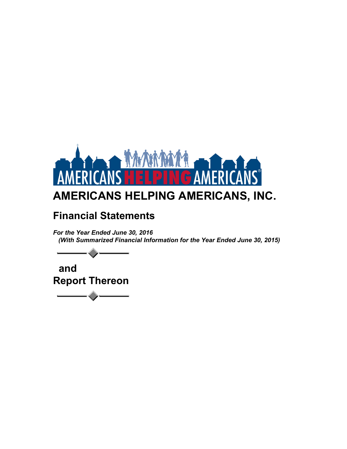

# **Financial Statements**

*For the Year Ended June 30, 2016 (With Summarized Financial Information for the Year Ended June 30, 2015)*

 **and Report Thereon**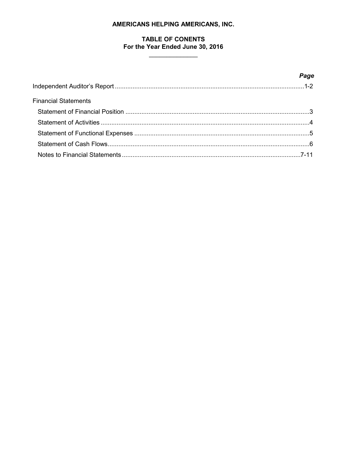# **TABLE OF CONENTS** For the Year Ended June 30, 2016

<u> 1990 - Johann Barnett, fransk politiker</u>

|                             | Page |
|-----------------------------|------|
|                             |      |
| <b>Financial Statements</b> |      |
|                             |      |
|                             |      |
|                             |      |
|                             |      |
|                             |      |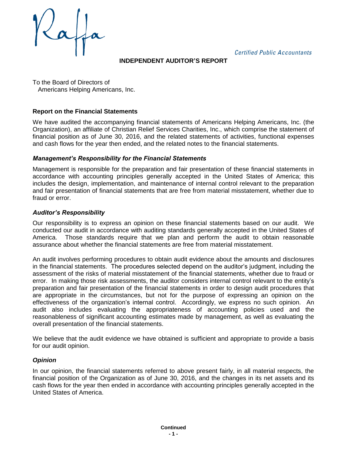**Certified Public Accountants** 

**INDEPENDENT AUDITOR'S REPORT**

To the Board of Directors of Americans Helping Americans, Inc.

# **Report on the Financial Statements**

We have audited the accompanying financial statements of Americans Helping Americans, Inc. (the Organization), an affiliate of Christian Relief Services Charities, Inc., which comprise the statement of financial position as of June 30, 2016, and the related statements of activities, functional expenses and cash flows for the year then ended, and the related notes to the financial statements.

### *Management's Responsibility for the Financial Statements*

Management is responsible for the preparation and fair presentation of these financial statements in accordance with accounting principles generally accepted in the United States of America; this includes the design, implementation, and maintenance of internal control relevant to the preparation and fair presentation of financial statements that are free from material misstatement, whether due to fraud or error.

### *Auditor's Responsibility*

Our responsibility is to express an opinion on these financial statements based on our audit. We conducted our audit in accordance with auditing standards generally accepted in the United States of America. Those standards require that we plan and perform the audit to obtain reasonable assurance about whether the financial statements are free from material misstatement.

An audit involves performing procedures to obtain audit evidence about the amounts and disclosures in the financial statements. The procedures selected depend on the auditor's judgment, including the assessment of the risks of material misstatement of the financial statements, whether due to fraud or error. In making those risk assessments, the auditor considers internal control relevant to the entity's preparation and fair presentation of the financial statements in order to design audit procedures that are appropriate in the circumstances, but not for the purpose of expressing an opinion on the effectiveness of the organization's internal control. Accordingly, we express no such opinion. An audit also includes evaluating the appropriateness of accounting policies used and the reasonableness of significant accounting estimates made by management, as well as evaluating the overall presentation of the financial statements.

We believe that the audit evidence we have obtained is sufficient and appropriate to provide a basis for our audit opinion.

# *Opinion*

In our opinion, the financial statements referred to above present fairly, in all material respects, the financial position of the Organization as of June 30, 2016, and the changes in its net assets and its cash flows for the year then ended in accordance with accounting principles generally accepted in the United States of America.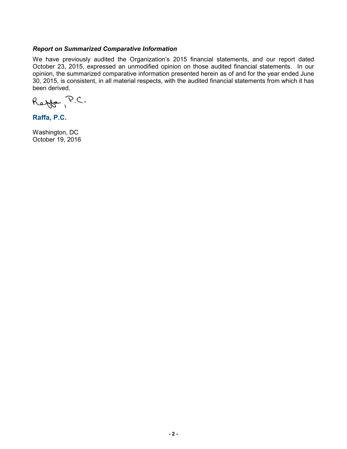# *Report on Summarized Comparative Information*

We have previously audited the Organization's 2015 financial statements, and our report dated October 23, 2015, expressed an unmodified opinion on those audited financial statements. In our opinion, the summarized comparative information presented herein as of and for the year ended June 30, 2015, is consistent, in all material respects, with the audited financial statements from which it has been derived.

Reffe P.C.

**Raffa, P.C.**

Washington, DC October 19, 2016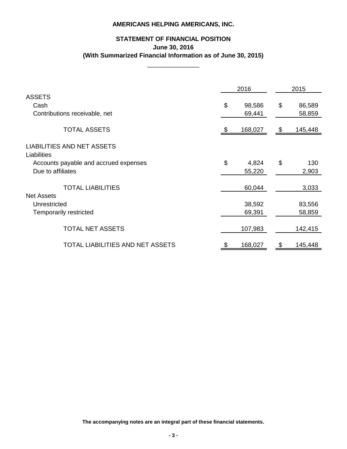# **STATEMENT OF FINANCIAL POSITION June 30, 2016 (With Summarized Financial Information as of June 30, 2015)**

\_\_\_\_\_\_\_\_\_\_\_\_\_\_\_

|                                                  |       | 2016    | 2015          |  |
|--------------------------------------------------|-------|---------|---------------|--|
| <b>ASSETS</b>                                    |       |         |               |  |
| Cash                                             | \$    | 98,586  | \$<br>86,589  |  |
| Contributions receivable, net                    |       | 69,441  | 58,859        |  |
| <b>TOTAL ASSETS</b>                              |       | 168,027 | \$<br>145,448 |  |
| <b>LIABILITIES AND NET ASSETS</b><br>Liabilities |       |         |               |  |
| Accounts payable and accrued expenses            | $\$\$ | 4,824   | \$<br>130     |  |
| Due to affiliates                                |       | 55,220  | 2,903         |  |
| <b>TOTAL LIABILITIES</b><br><b>Net Assets</b>    |       | 60,044  | 3,033         |  |
| Unrestricted                                     |       | 38,592  | 83,556        |  |
| <b>Temporarily restricted</b>                    |       | 69,391  | 58,859        |  |
|                                                  |       |         |               |  |
| <b>TOTAL NET ASSETS</b>                          |       | 107,983 | 142,415       |  |
| TOTAL LIABILITIES AND NET ASSETS                 | \$    | 168,027 | \$<br>145,448 |  |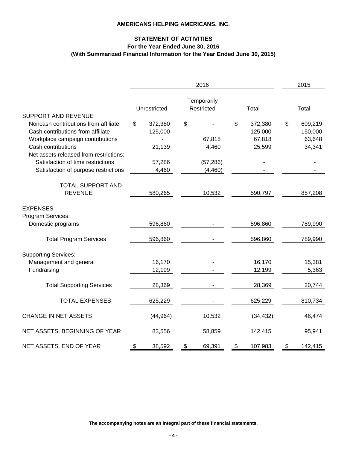# **STATEMENT OF ACTIVITIES For the Year Ended June 30, 2016 (With Summarized Financial Information for the Year Ended June 30, 2015)**

\_\_\_\_\_\_\_\_\_\_\_\_\_\_\_

|                                                                                                                                                                                                                                                                                          |                                                       | 2016                                           |                                              | 2015                                         |
|------------------------------------------------------------------------------------------------------------------------------------------------------------------------------------------------------------------------------------------------------------------------------------------|-------------------------------------------------------|------------------------------------------------|----------------------------------------------|----------------------------------------------|
|                                                                                                                                                                                                                                                                                          | Unrestricted                                          | Temporarily<br>Restricted                      | Total                                        | Total                                        |
| <b>SUPPORT AND REVENUE</b><br>Noncash contributions from affiliate<br>Cash contributions from affiliate<br>Workplace campaign contributions<br>Cash contributions<br>Net assets released from restrictions:<br>Satisfaction of time restrictions<br>Satisfaction of purpose restrictions | \$<br>372,380<br>125,000<br>21,139<br>57,286<br>4,460 | \$<br>67,818<br>4,460<br>(57, 286)<br>(4, 460) | \$<br>372,380<br>125,000<br>67,818<br>25,599 | \$<br>609,219<br>150,000<br>63,648<br>34,341 |
| <b>TOTAL SUPPORT AND</b><br><b>REVENUE</b>                                                                                                                                                                                                                                               | 580,265                                               | 10,532                                         | 590,797                                      | 857,208                                      |
| <b>EXPENSES</b><br>Program Services:<br>Domestic programs                                                                                                                                                                                                                                | 596,860                                               |                                                | 596,860                                      | 789,990                                      |
| <b>Total Program Services</b>                                                                                                                                                                                                                                                            | 596,860                                               |                                                | 596,860                                      | 789,990                                      |
| <b>Supporting Services:</b><br>Management and general<br>Fundraising                                                                                                                                                                                                                     | 16,170<br>12,199                                      |                                                | 16,170<br>12,199                             | 15,381<br>5,363                              |
| <b>Total Supporting Services</b>                                                                                                                                                                                                                                                         | 28,369                                                |                                                | 28,369                                       | 20,744                                       |
| <b>TOTAL EXPENSES</b>                                                                                                                                                                                                                                                                    | 625,229                                               |                                                | 625,229                                      | 810,734                                      |
| <b>CHANGE IN NET ASSETS</b>                                                                                                                                                                                                                                                              | (44, 964)                                             | 10,532                                         | (34, 432)                                    | 46,474                                       |
| NET ASSETS, BEGINNING OF YEAR                                                                                                                                                                                                                                                            | 83,556                                                | 58,859                                         | 142,415                                      | 95,941                                       |
| NET ASSETS, END OF YEAR                                                                                                                                                                                                                                                                  | \$<br>38,592                                          | \$<br>69,391                                   | \$<br>107,983                                | \$<br>142,415                                |

**The accompanying notes are an integral part of these financial statements.**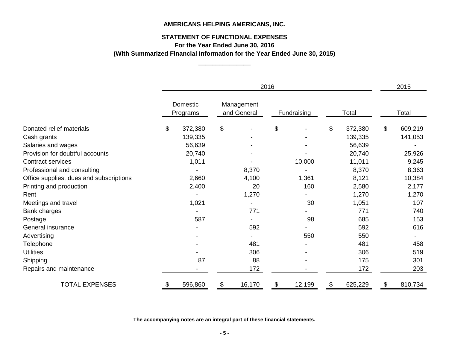# **STATEMENT OF FUNCTIONAL EXPENSES**

**For the Year Ended June 30, 2016**

\_\_\_\_\_\_\_\_\_\_\_\_\_\_\_ **(With Summarized Financial Information for the Year Ended June 30, 2015)**

|                                         | 2016                 |         |                           |        |             |        | 2015  |         |       |         |
|-----------------------------------------|----------------------|---------|---------------------------|--------|-------------|--------|-------|---------|-------|---------|
|                                         | Domestic<br>Programs |         | Management<br>and General |        | Fundraising |        | Total |         | Total |         |
| Donated relief materials                | \$                   | 372,380 | \$                        |        | \$          |        | \$    | 372,380 | \$    | 609,219 |
| Cash grants                             |                      | 139,335 |                           |        |             |        |       | 139,335 |       | 141,053 |
| Salaries and wages                      |                      | 56,639  |                           |        |             |        |       | 56,639  |       |         |
| Provision for doubtful accounts         |                      | 20,740  |                           |        |             |        |       | 20,740  |       | 25,926  |
| <b>Contract services</b>                |                      | 1,011   |                           |        |             | 10,000 |       | 11,011  |       | 9,245   |
| Professional and consulting             |                      |         |                           | 8,370  |             |        |       | 8,370   |       | 8,363   |
| Office supplies, dues and subscriptions |                      | 2,660   |                           | 4,100  |             | 1,361  |       | 8,121   |       | 10,384  |
| Printing and production                 |                      | 2,400   |                           | 20     |             | 160    |       | 2,580   |       | 2,177   |
| Rent                                    |                      |         |                           | 1,270  |             |        |       | 1,270   |       | 1,270   |
| Meetings and travel                     |                      | 1,021   |                           |        |             | 30     |       | 1,051   |       | 107     |
| Bank charges                            |                      |         |                           | 771    |             |        |       | 771     |       | 740     |
| Postage                                 |                      | 587     |                           |        |             | 98     |       | 685     |       | 153     |
| General insurance                       |                      |         |                           | 592    |             |        |       | 592     |       | 616     |
| Advertising                             |                      |         |                           |        |             | 550    |       | 550     |       |         |
| <b>Telephone</b>                        |                      |         |                           | 481    |             |        |       | 481     |       | 458     |
| <b>Utilities</b>                        |                      |         |                           | 306    |             |        |       | 306     |       | 519     |
| Shipping                                |                      | 87      |                           | 88     |             |        |       | 175     |       | 301     |
| Repairs and maintenance                 |                      |         |                           | 172    |             |        |       | 172     |       | 203     |
| <b>TOTAL EXPENSES</b>                   | \$                   | 596,860 | \$                        | 16,170 | \$          | 12,199 | \$    | 625,229 | \$    | 810,734 |

**The accompanying notes are an integral part of these financial statements.**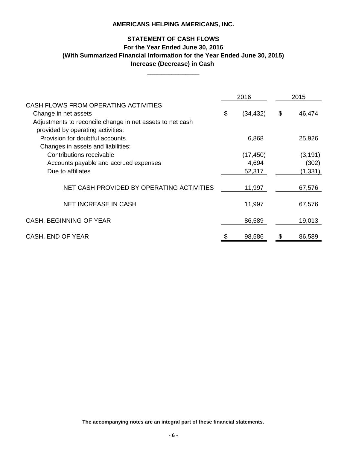# **STATEMENT OF CASH FLOWS For the Year Ended June 30, 2016 Increase (Decrease) in Cash (With Summarized Financial Information for the Year Ended June 30, 2015)**

**\_\_\_\_\_\_\_\_\_\_\_\_\_\_\_**

|                                                           | 2016            | 2015         |
|-----------------------------------------------------------|-----------------|--------------|
| CASH FLOWS FROM OPERATING ACTIVITIES                      |                 |              |
| Change in net assets                                      | \$<br>(34, 432) | \$<br>46,474 |
| Adjustments to reconcile change in net assets to net cash |                 |              |
| provided by operating activities:                         |                 |              |
| Provision for doubtful accounts                           | 6,868           | 25,926       |
| Changes in assets and liabilities:                        |                 |              |
| Contributions receivable                                  | (17, 450)       | (3, 191)     |
| Accounts payable and accrued expenses                     | 4,694           | (302)        |
| Due to affiliates                                         | 52,317          | (1, 331)     |
|                                                           |                 |              |
| NET CASH PROVIDED BY OPERATING ACTIVITIES                 | 11,997          | 67,576       |
|                                                           |                 |              |
| <b>NET INCREASE IN CASH</b>                               | 11,997          | 67,576       |
|                                                           |                 |              |
| CASH, BEGINNING OF YEAR                                   | 86,589          | 19,013       |
|                                                           |                 |              |
| CASH, END OF YEAR                                         | \$<br>98,586    | \$<br>86,589 |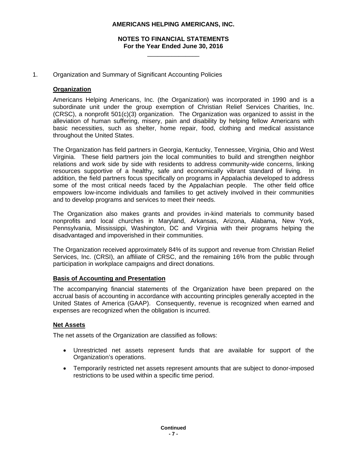### **NOTES TO FINANCIAL STATEMENTS For the Year Ended June 30, 2016**  \_\_\_\_\_\_\_\_\_\_\_\_\_\_\_

### 1. Organization and Summary of Significant Accounting Policies

### **Organization**

Americans Helping Americans, Inc. (the Organization) was incorporated in 1990 and is a subordinate unit under the group exemption of Christian Relief Services Charities, Inc. (CRSC), a nonprofit 501(c)(3) organization. The Organization was organized to assist in the alleviation of human suffering, misery, pain and disability by helping fellow Americans with basic necessities, such as shelter, home repair, food, clothing and medical assistance throughout the United States.

The Organization has field partners in Georgia, Kentucky, Tennessee, Virginia, Ohio and West Virginia. These field partners join the local communities to build and strengthen neighbor relations and work side by side with residents to address community-wide concerns, linking resources supportive of a healthy, safe and economically vibrant standard of living. In addition, the field partners focus specifically on programs in Appalachia developed to address some of the most critical needs faced by the Appalachian people. The other field office empowers low-income individuals and families to get actively involved in their communities and to develop programs and services to meet their needs.

The Organization also makes grants and provides in-kind materials to community based nonprofits and local churches in Maryland, Arkansas, Arizona, Alabama, New York, Pennsylvania, Mississippi, Washington, DC and Virginia with their programs helping the disadvantaged and impoverished in their communities.

The Organization received approximately 84% of its support and revenue from Christian Relief Services, Inc. (CRSI), an affiliate of CRSC, and the remaining 16% from the public through participation in workplace campaigns and direct donations.

#### **Basis of Accounting and Presentation**

The accompanying financial statements of the Organization have been prepared on the accrual basis of accounting in accordance with accounting principles generally accepted in the United States of America (GAAP). Consequently, revenue is recognized when earned and expenses are recognized when the obligation is incurred.

#### **Net Assets**

The net assets of the Organization are classified as follows:

- Unrestricted net assets represent funds that are available for support of the Organization's operations.
- Temporarily restricted net assets represent amounts that are subject to donor-imposed restrictions to be used within a specific time period.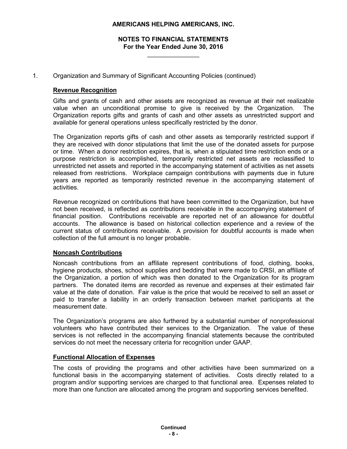# **NOTES TO FINANCIAL STATEMENTS For the Year Ended June 30, 2016**

\_\_\_\_\_\_\_\_\_\_\_\_\_\_\_

1. Organization and Summary of Significant Accounting Policies (continued)

# **Revenue Recognition**

Gifts and grants of cash and other assets are recognized as revenue at their net realizable value when an unconditional promise to give is received by the Organization. The Organization reports gifts and grants of cash and other assets as unrestricted support and available for general operations unless specifically restricted by the donor.

The Organization reports gifts of cash and other assets as temporarily restricted support if they are received with donor stipulations that limit the use of the donated assets for purpose or time. When a donor restriction expires, that is, when a stipulated time restriction ends or a purpose restriction is accomplished, temporarily restricted net assets are reclassified to unrestricted net assets and reported in the accompanying statement of activities as net assets released from restrictions. Workplace campaign contributions with payments due in future years are reported as temporarily restricted revenue in the accompanying statement of activities.

Revenue recognized on contributions that have been committed to the Organization, but have not been received, is reflected as contributions receivable in the accompanying statement of financial position. Contributions receivable are reported net of an allowance for doubtful accounts. The allowance is based on historical collection experience and a review of the current status of contributions receivable. A provision for doubtful accounts is made when collection of the full amount is no longer probable.

# **Noncash Contributions**

Noncash contributions from an affiliate represent contributions of food, clothing, books, hygiene products, shoes, school supplies and bedding that were made to CRSI, an affiliate of the Organization, a portion of which was then donated to the Organization for its program partners. The donated items are recorded as revenue and expenses at their estimated fair value at the date of donation. Fair value is the price that would be received to sell an asset or paid to transfer a liability in an orderly transaction between market participants at the measurement date.

The Organization's programs are also furthered by a substantial number of nonprofessional volunteers who have contributed their services to the Organization. The value of these services is not reflected in the accompanying financial statements because the contributed services do not meet the necessary criteria for recognition under GAAP.

#### **Functional Allocation of Expenses**

The costs of providing the programs and other activities have been summarized on a functional basis in the accompanying statement of activities. Costs directly related to a program and/or supporting services are charged to that functional area. Expenses related to more than one function are allocated among the program and supporting services benefited.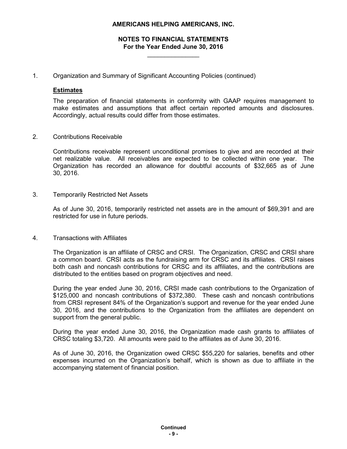# **NOTES TO FINANCIAL STATEMENTS For the Year Ended June 30, 2016**

\_\_\_\_\_\_\_\_\_\_\_\_\_\_\_

1. Organization and Summary of Significant Accounting Policies (continued)

### **Estimates**

The preparation of financial statements in conformity with GAAP requires management to make estimates and assumptions that affect certain reported amounts and disclosures. Accordingly, actual results could differ from those estimates.

2. Contributions Receivable

Contributions receivable represent unconditional promises to give and are recorded at their net realizable value. All receivables are expected to be collected within one year. The Organization has recorded an allowance for doubtful accounts of \$32,665 as of June 30, 2016.

3. Temporarily Restricted Net Assets

As of June 30, 2016, temporarily restricted net assets are in the amount of \$69,391 and are restricted for use in future periods.

#### 4. Transactions with Affiliates

The Organization is an affiliate of CRSC and CRSI. The Organization, CRSC and CRSI share a common board. CRSI acts as the fundraising arm for CRSC and its affiliates. CRSI raises both cash and noncash contributions for CRSC and its affiliates, and the contributions are distributed to the entities based on program objectives and need.

During the year ended June 30, 2016, CRSI made cash contributions to the Organization of \$125,000 and noncash contributions of \$372,380. These cash and noncash contributions from CRSI represent 84% of the Organization's support and revenue for the year ended June 30, 2016, and the contributions to the Organization from the affiliates are dependent on support from the general public.

During the year ended June 30, 2016, the Organization made cash grants to affiliates of CRSC totaling \$3,720. All amounts were paid to the affiliates as of June 30, 2016.

As of June 30, 2016, the Organization owed CRSC \$55,220 for salaries, benefits and other expenses incurred on the Organization's behalf, which is shown as due to affiliate in the accompanying statement of financial position.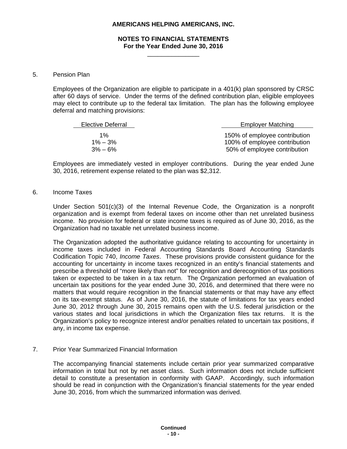#### **NOTES TO FINANCIAL STATEMENTS For the Year Ended June 30, 2016**  \_\_\_\_\_\_\_\_\_\_\_\_\_\_\_

#### 5. Pension Plan

Employees of the Organization are eligible to participate in a 401(k) plan sponsored by CRSC after 60 days of service. Under the terms of the defined contribution plan, eligible employees may elect to contribute up to the federal tax limitation. The plan has the following employee deferral and matching provisions:

| Elective Deferral | <b>Employer Matching</b>      |
|-------------------|-------------------------------|
| $1\%$             | 150% of employee contribution |
| $1\% - 3\%$       | 100% of employee contribution |
| $3\% - 6\%$       | 50% of employee contribution  |

Employees are immediately vested in employer contributions. During the year ended June 30, 2016, retirement expense related to the plan was \$2,312.

#### 6. Income Taxes

Under Section 501(c)(3) of the Internal Revenue Code, the Organization is a nonprofit organization and is exempt from federal taxes on income other than net unrelated business income. No provision for federal or state income taxes is required as of June 30, 2016, as the Organization had no taxable net unrelated business income.

The Organization adopted the authoritative guidance relating to accounting for uncertainty in income taxes included in Federal Accounting Standards Board Accounting Standards Codification Topic 740, *Income Taxes*. These provisions provide consistent guidance for the accounting for uncertainty in income taxes recognized in an entity's financial statements and prescribe a threshold of "more likely than not" for recognition and derecognition of tax positions taken or expected to be taken in a tax return. The Organization performed an evaluation of uncertain tax positions for the year ended June 30, 2016, and determined that there were no matters that would require recognition in the financial statements or that may have any effect on its tax-exempt status. As of June 30, 2016, the statute of limitations for tax years ended June 30, 2012 through June 30, 2015 remains open with the U.S. federal jurisdiction or the various states and local jurisdictions in which the Organization files tax returns. It is the Organization's policy to recognize interest and/or penalties related to uncertain tax positions, if any, in income tax expense.

#### 7. Prior Year Summarized Financial Information

The accompanying financial statements include certain prior year summarized comparative information in total but not by net asset class. Such information does not include sufficient detail to constitute a presentation in conformity with GAAP. Accordingly, such information should be read in conjunction with the Organization's financial statements for the year ended June 30, 2016, from which the summarized information was derived.